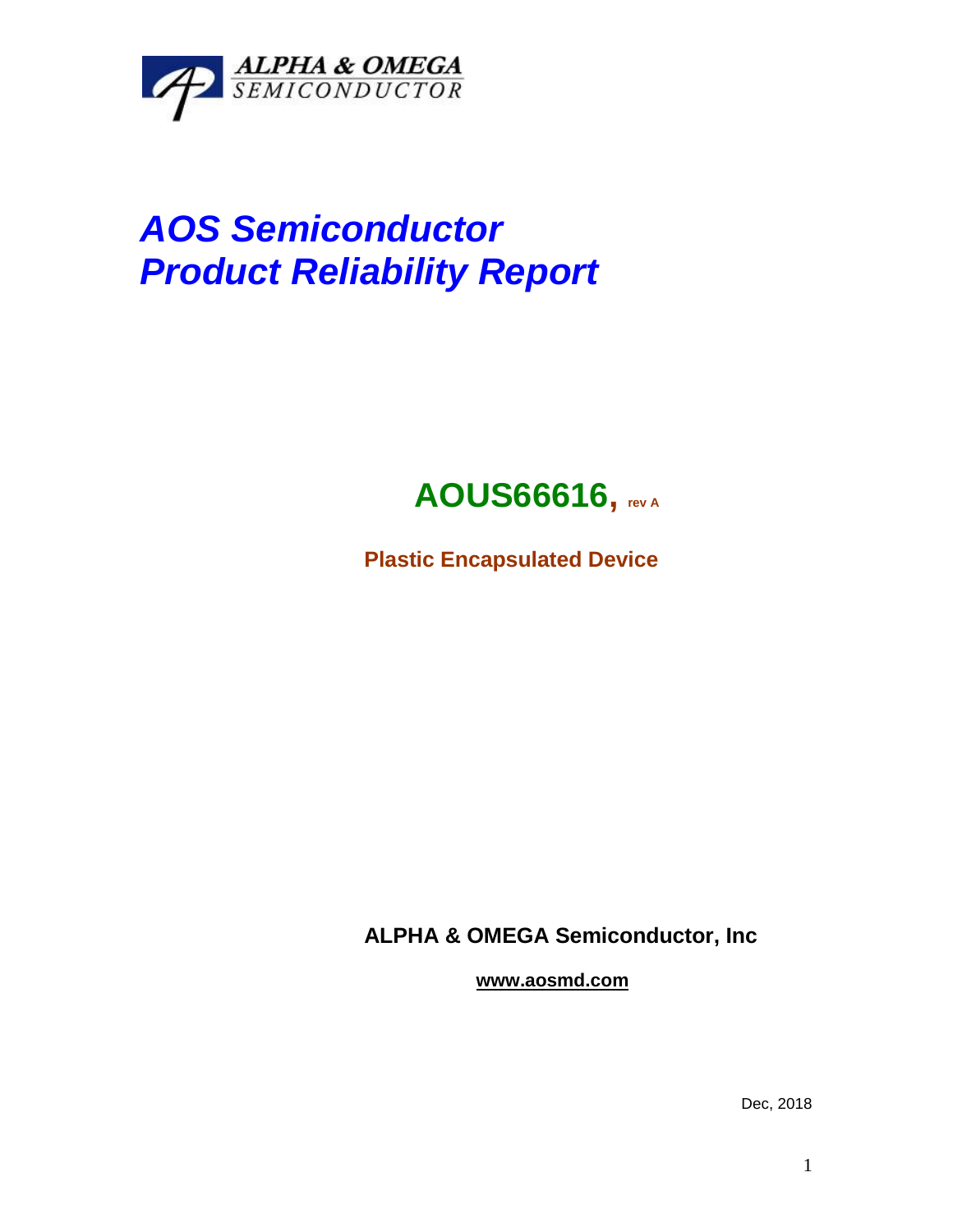

# *AOS Semiconductor Product Reliability Report*

# **AOUS66616, rev <sup>A</sup>**

**Plastic Encapsulated Device**

**ALPHA & OMEGA Semiconductor, Inc**

**www.aosmd.com**

Dec, 2018